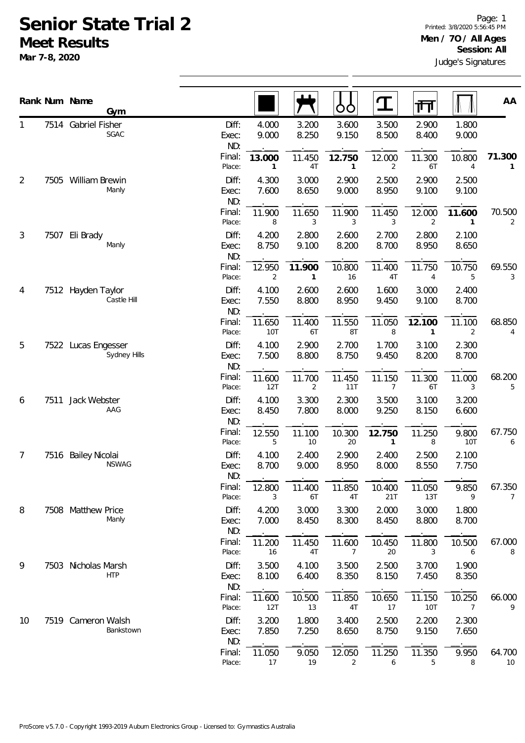## **Senior State Trial 2 Meet Results**

**Mar 7-8, 2020**

|    |      | Rank Num Name                         |                       |                          |                          | OO                       | I                        | गा                       |                          | AA                       |
|----|------|---------------------------------------|-----------------------|--------------------------|--------------------------|--------------------------|--------------------------|--------------------------|--------------------------|--------------------------|
|    |      | Gym                                   |                       |                          |                          |                          |                          |                          |                          |                          |
| 1  |      | 7514 Gabriel Fisher<br>SGAC           | Diff:<br>Exec:<br>ND: | 4.000<br>9.000           | 3.200<br>8.250           | 3.600<br>9.150           | 3.500<br>8.500           | 2.900<br>8.400           | 1.800<br>9.000           |                          |
|    |      |                                       | Final:<br>Place:      | 13.000<br>1              | 11.450<br>4T             | 12.750<br>$\mathbf{1}$   | 12.000<br>2              | 11.300<br>6T             | 10.800<br>$\overline{4}$ | 71.300<br>1              |
| 2  | 7505 | William Brewin<br>Manly               | Diff:<br>Exec:<br>ND: | 4.300<br>7.600           | 3.000<br>8.650           | 2.900<br>9.000           | 2.500<br>8.950           | 2.900<br>9.100           | 2.500<br>9.100           |                          |
|    |      |                                       | Final:<br>Place:      | 11.900<br>8              | 11.650<br>3              | 11.900<br>3              | 11.450<br>3              | 12.000<br>$\overline{2}$ | 11.600<br>1              | 70.500<br>2              |
| 3  | 7507 | Eli Brady<br>Manly                    | Diff:<br>Exec:<br>ND: | 4.200<br>8.750           | 2.800<br>9.100           | 2.600<br>8.200           | 2.700<br>8.700           | 2.800<br>8.950           | 2.100<br>8.650           |                          |
|    |      |                                       | Final:<br>Place:      | 12.950<br>$\overline{2}$ | 11.900<br>$\mathbf{1}$   | 10.800<br>16             | 11.400<br>4T             | 11.750<br>4              | 10.750<br>5              | 69.550<br>3              |
| 4  |      | 7512 Hayden Taylor<br>Castle Hill     | Diff:<br>Exec:<br>ND: | 4.100<br>7.550           | 2.600<br>8.800           | 2.600<br>8.950           | 1.600<br>9.450           | 3.000<br>9.100           | 2.400<br>8.700           |                          |
|    |      |                                       | Final:<br>Place:      | 11.650<br>10T            | 11.400<br>6T             | 11.550<br>8T             | 11.050<br>8              | 12.100<br>$\mathbf{1}$   | 11.100<br>$\overline{2}$ | 68.850<br>4              |
| 5  | 7522 | Lucas Engesser<br>Sydney Hills        | Diff:<br>Exec:<br>ND: | 4.100<br>7.500           | 2.900<br>8.800           | 2.700<br>8.750           | 1.700<br>9.450           | 3.100<br>8.200           | 2.300<br>8.700           |                          |
|    |      |                                       | Final:<br>Place:      | 11.600<br>12T            | 11.700<br>$\overline{2}$ | 11.450<br>11T            | 11.150<br>$\overline{7}$ | 11.300<br>6T             | 11.000<br>3              | 68.200<br>5              |
| 6  | 7511 | Jack Webster<br>AAG                   | Diff:<br>Exec:<br>ND: | 4.100<br>8.450           | 3.300<br>7.800           | 2.300<br>8.000           | 3.500<br>9.250           | 3.100<br>8.150           | 3.200<br>6.600           |                          |
|    |      |                                       | Final:<br>Place:      | 12.550<br>5              | 11.100<br>10             | 10.300<br>20             | 12.750<br>1              | 11.250<br>8              | 9.800<br>10T             | 67.750<br>6              |
| 7  | 7516 | <b>Bailey Nicolai</b><br><b>NSWAG</b> | Diff:<br>Exec:<br>ND: | 4.100<br>8.700           | 2.400<br>9.000           | 2.900<br>8.950           | 2.400<br>8.000           | 2.500<br>8.550           | 2.100<br>7.750           |                          |
|    |      |                                       | Final:<br>Place:      | 12.800<br>3              | 11.400<br>6T             | 11.850<br>4T             | 10.400<br>21T            | 11.050<br>13T            | 9.850<br>9               | 67.350<br>$\overline{7}$ |
| 8  |      | 7508 Matthew Price<br>Manly           | Diff:<br>Exec:<br>ND: | 4.200<br>7.000           | 3.000<br>8.450           | 3.300<br>8.300           | 2.000<br>8.450           | 3.000<br>8.800           | 1.800<br>8.700           |                          |
|    |      |                                       | Final:<br>Place:      | 11.200<br>16             | 11.450<br>4T             | 11.600<br>$\overline{7}$ | 10.450<br>20             | 11.800<br>3              | 10.500<br>6              | 67.000<br>8              |
| 9  | 7503 | Nicholas Marsh                        | Diff:                 | 3.500                    | 4.100                    | 3.500                    | 2.500                    | 3.700                    | 1.900                    |                          |
|    |      | <b>HTP</b>                            | Exec:<br>ND:          | 8.100                    | 6.400                    | 8.350                    | 8.150                    | 7.450                    | 8.350                    |                          |
|    |      |                                       | Final:<br>Place:      | 11.600<br>12T            | 10.500<br>13             | 11.850<br>4T             | 10.650<br>17             | 11.150<br><b>10T</b>     | 10.250<br>7              | 66.000<br>9              |
| 10 |      | 7519 Cameron Walsh                    | Diff:                 | 3.200                    | 1.800                    | 3.400                    | 2.500                    | 2.200                    | 2.300                    |                          |
|    |      | Bankstown                             | Exec:<br>ND:          | 7.850                    | 7.250                    | 8.650                    | 8.750                    | 9.150                    | 7.650                    |                          |
|    |      |                                       | Final:<br>Place:      | 11.050<br>17             | 9.050<br>19              | 12.050<br>2              | 11.250<br>6              | 11.350<br>5              | 9.950<br>8               | 64.700<br>10             |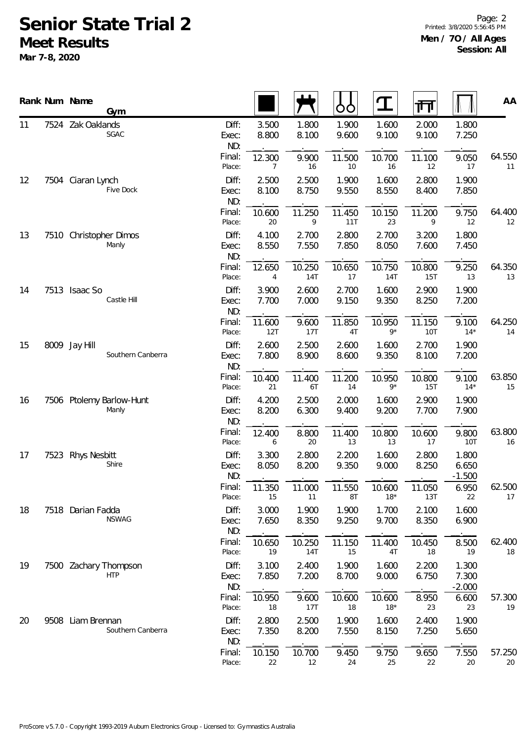## **Senior State Trial 2**

**Meet Results**

**Mar 7-8, 2020**

Page: 2 Printed: 3/8/2020 5:56:45 PM **Men / 7O / All Ages Session: All**

|    | Rank Num Name<br><b>Gym</b>            |                       |                          |                      | OO             |                      | गा                   |                            | AA           |
|----|----------------------------------------|-----------------------|--------------------------|----------------------|----------------|----------------------|----------------------|----------------------------|--------------|
| 11 | 7524 Zak Oaklands<br>SGAC              | Diff:<br>Exec:<br>ND: | 3.500<br>8.800           | 1.800<br>8.100       | 1.900<br>9.600 | 1.600<br>9.100       | 2.000<br>9.100       | 1.800<br>7.250             |              |
|    |                                        | Final:<br>Place:      | 12.300<br>7              | 9.900<br>16          | 11.500<br>10   | 10.700<br>16         | 11.100<br>12         | 9.050<br>17                | 64.550<br>11 |
| 12 | 7504 Ciaran Lynch<br>Five Dock         | Diff:<br>Exec:<br>ND: | 2.500<br>8.100           | 2.500<br>8.750       | 1.900<br>9.550 | 1.600<br>8.550       | 2.800<br>8.400       | 1.900<br>7.850             |              |
|    |                                        | Final:<br>Place:      | 10.600<br>20             | 11.250<br>9          | 11.450<br>11T  | 10.150<br>23         | 11.200<br>9          | 9.750<br>12                | 64.40C<br>12 |
| 13 | 7510 Christopher Dimos<br>Manly        | Diff:<br>Exec:<br>ND: | 4.100<br>8.550           | 2.700<br>7.550       | 2.800<br>7.850 | 2.700<br>8.050       | 3.200<br>7.600       | 1.800<br>7.450             |              |
|    |                                        | Final:<br>Place:      | 12.650<br>$\overline{4}$ | 10.250<br><b>14T</b> | 10.650<br>17   | 10.750<br><b>14T</b> | 10.800<br><b>15T</b> | 9.250<br>13                | 64.35C<br>13 |
| 14 | 7513 Isaac So<br>Castle Hill           | Diff:<br>Exec:<br>ND: | 3.900<br>7.700           | 2.600<br>7.000       | 2.700<br>9.150 | 1.600<br>9.350       | 2.900<br>8.250       | 1.900<br>7.200             |              |
|    |                                        | Final:<br>Place:      | 11.600<br>12T            | 9.600<br>17T         | 11.850<br>4T   | 10.950<br>$9*$       | 11.150<br><b>10T</b> | 9.100<br>$14*$             | 64.250<br>14 |
| 15 | 8009 Jay Hill<br>Southern Canberra     | Diff:<br>Exec:<br>ND: | 2.600<br>7.800           | 2.500<br>8.900       | 2.600<br>8.600 | 1.600<br>9.350       | 2.700<br>8.100       | 1.900<br>7.200             |              |
|    |                                        | Final:<br>Place:      | 10.400<br>21             | 11.400<br>6T         | 11.200<br>14   | 10.950<br>$9*$       | 10.800<br><b>15T</b> | 9.100<br>$14*$             | 63.85C<br>15 |
| 16 | 7506 Ptolemy Barlow-Hunt<br>Manly      | Diff:<br>Exec:<br>ND: | 4.200<br>8.200           | 2.500<br>6.300       | 2.000<br>9.400 | 1.600<br>9.200       | 2.900<br>7.700       | 1.900<br>7.900             |              |
|    |                                        | Final:<br>Place:      | 12.400<br>6              | 8.800<br>20          | 11.400<br>13   | 10.800<br>13         | 10.600<br>17         | 9.800<br><b>10T</b>        | 63.80C<br>16 |
| 17 | 7523 Rhys Nesbitt<br>Shire             | Diff:<br>Exec:<br>ND: | 3.300<br>8.050           | 2.800<br>8.200       | 2.200<br>9.350 | 1.600<br>9.000       | 2.800<br>8.250       | 1.800<br>6.650<br>$-1.500$ |              |
|    |                                        | Final:<br>Place:      | 11.350<br>15             | 11.000<br>11         | 11.550<br>8Τ   | 10.600<br>$18*$      | 11.050<br>13T        | 6.950<br>22                | 62.500<br>17 |
| 18 | 7518 Darian Fadda<br><b>NSWAG</b>      | Diff:<br>Exec:<br>ND: | 3.000<br>7.650           | 1.900<br>8.350       | 1.900<br>9.250 | 1.700<br>9.700       | 2.100<br>8.350       | 1.600<br>6.900             |              |
|    |                                        | Final:<br>Place:      | 10.650<br>19             | 10.250<br><b>14T</b> | 11.150<br>15   | 11.400<br>4T         | 10.450<br>18         | 8.500<br>19                | 62.400<br>18 |
| 19 | 7500 Zachary Thompson<br><b>HTP</b>    | Diff:<br>Exec:<br>ND: | 3.100<br>7.850           | 2.400<br>7.200       | 1.900<br>8.700 | 1.600<br>9.000       | 2.200<br>6.750       | 1.300<br>7.300<br>$-2.000$ |              |
|    |                                        | Final:<br>Place:      | 10.950<br>18             | 9.600<br>17T         | 10.600<br>18   | 10.600<br>$18*$      | 8.950<br>23          | 6.600<br>23                | 57.300<br>19 |
| 20 | 9508 Liam Brennan<br>Southern Canberra | Diff:<br>Exec:<br>ND: | 2.800<br>7.350           | 2.500<br>8.200       | 1.900<br>7.550 | 1.600<br>8.150       | 2.400<br>7.250       | 1.900<br>5.650             |              |
|    |                                        | Final:<br>Place:      | 10.150<br>22             | 10.700<br>12         | 9.450<br>24    | 9.750<br>25          | 9.650<br>22          | 7.550<br>20                | 57.250<br>20 |